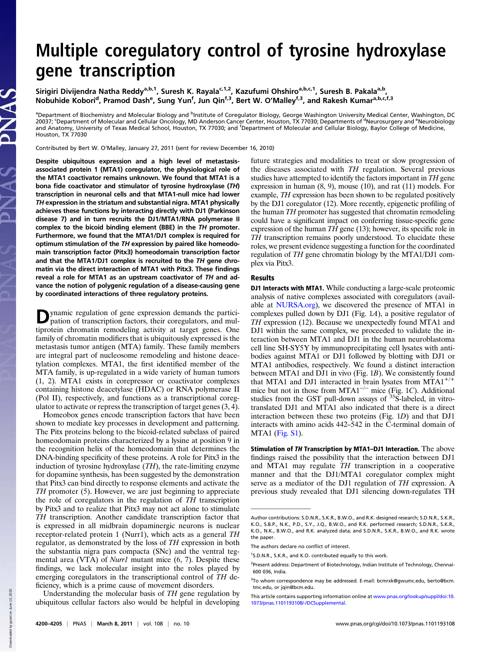## Multiple coregulatory control of tyrosine hydroxylase gene transcription

Sirigiri Divijendra Natha Reddy<sup>a,b,1</sup>, Suresh K. Rayala<sup>c,1,2</sup>, Kazufumi Ohshiro<sup>a,b,c,1</sup>, Suresh B. Pakala<sup>a,b</sup>, Nobuhide Kobori<sup>d</sup>, Pramod Dash<sup>e</sup>, Sung Yun<sup>f</sup>, Jun Qin<sup>f,3</sup>, Bert W. O'Malley<sup>f,3</sup>, and Rakesh Kumar<sup>a,b,c,f,3</sup>

<sup>a</sup>Department of Biochemistry and Molecular Biology and <sup>b</sup>Institute of Coregulator Biology, George Washington University Medical Center, Washington, DC 20037; 'Department of Molecular and Cellular Oncology, MD Anderson Cancer Center, Houston, TX 77030; Departments of <sup>d</sup>Neurosurgery and <sup>e</sup>Neurobiology and Anatomy, University of Texas Medical School, Houston, TX 77030; and <sup>f</sup> Department of Molecular and Cellular Biology, Baylor College of Medicine, Houston, TX 77030

Contributed by Bert W. O'Malley, January 27, 2011 (sent for review December 16, 2010)

Despite ubiquitous expression and a high level of metastasisassociated protein 1 (MTA1) coregulator, the physiological role of the MTA1 coactivator remains unknown. We found that MTA1 is a bona fide coactivator and stimulator of tyrosine hydroxylase (TH) transcription in neuronal cells and that MTA1-null mice had lower TH expression in the striatum and substantial nigra. MTA1 physically achieves these functions by interacting directly with DJ1 (Parkinson disease 7) and in turn recruits the DJ1/MTA1/RNA polymerase II complex to the bicoid binding element (BBE) in the TH promoter. Furthermore, we found that the MTA1/DJ1 complex is required for optimum stimulation of the TH expression by paired like homeodomain transcription factor (Pitx3) homeodomain transcription factor and that the MTA1/DJ1 complex is recruited to the TH gene chromatin via the direct interaction of MTA1 with Pitx3. These findings reveal a role for MTA1 as an upstream coactivator of TH and advance the notion of polygenic regulation of a disease-causing gene by coordinated interactions of three regulatory proteins.

Dynamic regulation of gene expression demands the partici-pation of transcription factors, their coregulators, and multiprotein chromatin remodeling activity at target genes. One family of chromatin modifiers that is ubiquitously expressed is the metastasis tumor antigen (MTA) family. These family members are integral part of nucleosome remodeling and histone deacetylation complexes. MTA1, the first identified member of the MTA family, is up-regulated in a wide variety of human tumors (1, 2). MTA1 exists in corepressor or coactivator complexes containing histone deacetylase (HDAC) or RNA polymerase II (Pol II), respectively, and functions as a transcriptional coregulator to activate or repress the transcription of target genes  $(3, 4)$ .

Homeobox genes encode transcription factors that have been shown to mediate key processes in development and patterning. The Pitx proteins belong to the bicoid-related subclass of paired homeodomain proteins characterized by a lysine at position 9 in the recognition helix of the homeodomain that determines the DNA-binding specificity of these proteins. A role for Pitx3 in the induction of tyrosine hydroxylase  $(TH)$ , the rate-limiting enzyme for dopamine synthesis, has been suggested by the demonstration that Pitx3 can bind directly to response elements and activate the TH promoter (5). However, we are just beginning to appreciate the role of coregulators in the regulation of TH transcription by Pitx3 and to realize that Pitx3 may not act alone to stimulate TH transcription. Another candidate transcription factor that is expressed in all midbrain dopaminergic neurons is nuclear receptor-related protein 1 (Nurr1), which acts as a general TH regulator, as demonstrated by the loss of TH expression in both the substantia nigra pars compacta (SNc) and the ventral tegmental area (VTA) of *Nurr1* mutant mice (6, 7). Despite these findings, we lack molecular insight into the roles played by emerging coregulators in the transcriptional control of TH deficiency, which is a prime cause of movement disorders.

Understanding the molecular basis of TH gene regulation by ubiquitous cellular factors also would be helpful in developing future strategies and modalities to treat or slow progression of the diseases associated with TH regulation. Several previous studies have attempted to identify the factors important in TH gene expression in human (8, 9), mouse (10), and rat (11) models. For example, TH expression has been shown to be regulated positively by the DJ1 coregulator (12). More recently, epigenetic profiling of the human TH promoter has suggested that chromatin remodeling could have a significant impact on conferring tissue-specific gene expression of the human  $T\bar{H}$  gene (13); however, its specific role in TH transcription remains poorly understood. To elucidate these roles, we present evidence suggesting a function for the coordinated regulation of TH gene chromatin biology by the MTA1/DJ1 complex via Pitx3.

## Results

DJ1 Interacts with MTA1. While conducting a large-scale proteomic analysis of native complexes associated with coregulators (available at [NURSA.org\)](http://NURSA.org), we discovered the presence of MTA1 in complexes pulled down by DJ1 (Fig. 1A), a positive regulator of TH expression (12). Because we unexpectedly found MTA1 and DJ1 within the same complex, we proceeded to validate the interaction between MTA1 and DJ1 in the human neuroblastoma cell line SH-SY5Y by immunoprecipitating cell lysates with antibodies against MTA1 or DJ1 followed by blotting with DJ1 or MTA1 antibodies, respectively. We found a distinct interaction between MTA1 and DJ1 in vivo (Fig. 1B). We consistently found that MTA1 and DJ1 interacted in brain lysates from MTA1<sup>+/+</sup> mice but not in those from MTA1<sup>-/-</sup> mice (Fig. 1C). Additional studies from the GST pull-down assays of <sup>35</sup>S-labeled, in vitrotranslated DJ1 and MTA1 also indicated that there is a direct interaction between these two proteins (Fig. 1D) and that DJ1 interacts with amino acids 442–542 in the C-terminal domain of MTA1 ([Fig. S1\)](http://www.pnas.org/lookup/suppl/doi:10.1073/pnas.1101193108/-/DCSupplemental/pnas.201101193SI.pdf?targetid=nameddest=SF1).

Stimulation of TH Transcription by MTA1-DJ1 Interaction. The above findings raised the possibility that the interaction between DJ1 and MTA1 may regulate TH transcription in a cooperative manner and that the DJ1/MTA1 coregulator complex might serve as a mediator of the DJ1 regulation of TH expression. A previous study revealed that DJ1 silencing down-regulates TH

Author contributions: S.D.N.R., S.K.R., B.W.O., and R.K. designed research; S.D.N.R., S.K.R., K.O., S.B.P., N.K., P.D., S.Y., J.Q., B.W.O., and R.K. performed research; S.D.N.R., S.K.R., K.O., N.K., B.W.O., and R.K. analyzed data; and S.D.N.R., S.K.R., B.W.O., and R.K. wrote the paper.

The authors declare no conflict of interest.

<sup>&</sup>lt;sup>1</sup>S.D.N.R., S.K.R., and K.O. contributed equally to this work.

<sup>&</sup>lt;sup>2</sup>Present address: Department of Biotechnology, Indian Institute of Technology, Chennai-600 036, India.

<sup>&</sup>lt;sup>3</sup>To whom correspondence may be addressed. E-mail: [bcmrxk@gwumc.edu,](mailto:bcmrxk@gwumc.edu) [berto@bcm.](mailto:berto@bcm.tmc.edu) [tmc.edu](mailto:berto@bcm.tmc.edu), or [jqin@bcm.edu](mailto:jqin@bcm.edu).

This article contains supporting information online at [www.pnas.org/lookup/suppl/doi:10.](http://www.pnas.org/lookup/suppl/doi:10.1073/pnas.1101193108/-/DCSupplemental) [1073/pnas.1101193108/-/DCSupplemental.](http://www.pnas.org/lookup/suppl/doi:10.1073/pnas.1101193108/-/DCSupplemental)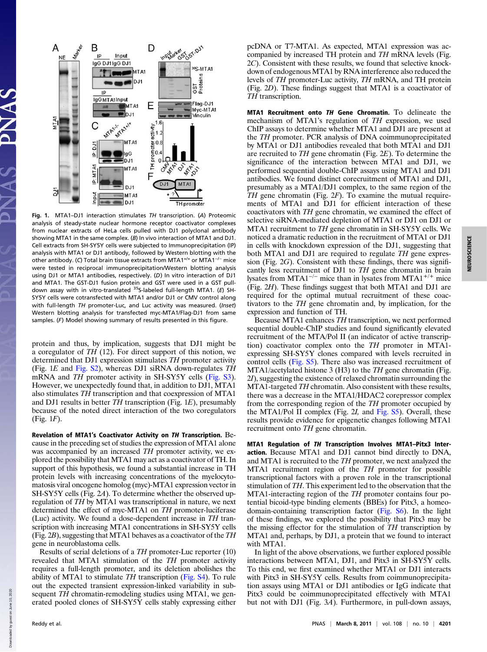

Fig. 1. MTA1–DJ1 interaction stimulates TH transcription. (A) Proteomic analysis of steady-state nuclear hormone receptor coactivator complexes from nuclear extracts of HeLa cells pulled with DJ1 polyclonal antibody showing MTA1 in the same complex. (B) In vivo interaction of MTA1 and DJ1. Cell extracts from SH-SY5Y cells were subjected to Immunoprecipitation (IP) analysis with MTA1 or DJ1 antibody, followed by Western blotting with the other antibody. (C) Total brain tissue extracts from MTA1<sup>+/+</sup> or MTA1<sup>-/−</sup> mice were tested in reciprocal immunoprecipitation/Western blotting analysis using DJ1 or MTA1 antibodies, respectively. (D) In vitro interaction of DJ1 and MTA1. The GST-DJ1 fusion protein and GST were used in a GST pulldown assay with in vitro-translated <sup>35</sup>S-labeled full-length MTA1. (E) SH-SY5Y cells were cotransfected with MTA1 and/or DJ1 or CMV control along with full-length TH promoter-Luc, and Luc activity was measured. (Inset) Western blotting analysis for transfected myc-MTA1/Flag-DJ1 from same samples. (F) Model showing summary of results presented in this figure.

protein and thus, by implication, suggests that DJ1 might be a coregulator of  $TH$  (12). For direct support of this notion, we determined that DJ1 expression stimulates TH promoter activity (Fig. 1E and [Fig. S2](http://www.pnas.org/lookup/suppl/doi:10.1073/pnas.1101193108/-/DCSupplemental/pnas.201101193SI.pdf?targetid=nameddest=SF2)), whereas DJ1 siRNA down-regulates TH mRNA and *TH* promoter activity in SH-SY5Y cells [\(Fig. S3\)](http://www.pnas.org/lookup/suppl/doi:10.1073/pnas.1101193108/-/DCSupplemental/pnas.201101193SI.pdf?targetid=nameddest=SF3). However, we unexpectedly found that, in addition to DJ1, MTA1 also stimulates TH transcription and that coexpression of MTA1 and DJ1 results in better  $TH$  transcription (Fig. 1E), presumably because of the noted direct interaction of the two coregulators (Fig. 1F).

Revelation of MTA1's Coactivator Activity on TH Transcription. Because in the preceding set of studies the expression of MTA1 alone was accompanied by an increased TH promoter activity, we explored the possibility that MTA1 may act as a coactivator of TH. In support of this hypothesis, we found a substantial increase in TH protein levels with increasing concentrations of the myelocytomatosis viral oncogene homolog (myc)-MTA1 expression vector in SH-SY5Y cells (Fig. 2A). To determine whether the observed upregulation of TH by MTA1 was transcriptional in nature, we next determined the effect of myc-MTA1 on TH promoter-luciferase (Luc) activity. We found a dose-dependent increase in TH transcription with increasing MTA1 concentrations in SH-SY5Y cells (Fig. 2B), suggesting that MTA1 behaves as a coactivator of the TH gene in neuroblastoma cells.

Results of serial deletions of a TH promoter-Luc reporter (10) revealed that MTA1 stimulation of the TH promoter activity requires a full-length promoter, and its deletion abolishes the ability of MTA1 to stimulate TH transcription [\(Fig. S4\)](http://www.pnas.org/lookup/suppl/doi:10.1073/pnas.1101193108/-/DCSupplemental/pnas.201101193SI.pdf?targetid=nameddest=SF4). To rule out the expected transient expression-linked variability in subsequent TH chromatin-remodeling studies using MTA1, we generated pooled clones of SH-SY5Y cells stably expressing either pcDNA or T7-MTA1. As expected, MTA1 expression was accompanied by increased TH protein and TH mRNA levels (Fig. 2C). Consistent with these results, we found that selective knockdown of endogenous MTA1 by RNA interference also reduced the levels of TH promoter-Luc activity, TH mRNA, and TH protein (Fig. 2D). These findings suggest that MTA1 is a coactivator of TH transcription.

MTA1 Recruitment onto TH Gene Chromatin. To delineate the mechanism of MTA1's regulation of TH expression, we used ChIP assays to determine whether MTA1 and DJ1 are present at the TH promoter. PCR analysis of DNA coimmunoprecipitated by MTA1 or DJ1 antibodies revealed that both MTA1 and DJ1 are recruited to TH gene chromatin (Fig. 2E). To determine the significance of the interaction between MTA1 and DJ1, we performed sequential double-ChIP assays using MTA1 and DJ1 antibodies. We found distinct corecruitment of MTA1 and DJ1, presumably as a MTA1/DJ1 complex, to the same region of the  $TH$  gene chromatin (Fig.  $2F$ ). To examine the mutual requirements of MTA1 and DJ1 for efficient interaction of these coactivators with TH gene chromatin, we examined the effect of selective siRNA-mediated depletion of MTA1 or DJ1 on DJ1 or MTA1 recruitment to TH gene chromatin in SH-SY5Y cells. We noticed a dramatic reduction in the recruitment of MTA1 or DJ1 in cells with knockdown expression of the DJ1, suggesting that both MTA1 and DJ1 are required to regulate TH gene expression (Fig. 2G). Consistent with these findings, there was significantly less recruitment of DJ1 to TH gene chromatin in brain lysates from MTA1<sup> $-/-$ </sup> mice than in lysates from MTA1<sup> $+/-$ </sup> mice (Fig. 2H). These findings suggest that both MTA1 and DJ1 are required for the optimal mutual recruitment of these coactivators to the TH gene chromatin and, by implication, for the expression and function of TH.

Because MTA1 enhances TH transcription, we next performed sequential double-ChIP studies and found significantly elevated recruitment of the MTA/Pol II (an indicator of active transcription) coactivator complex onto the TH promoter in MTA1 expressing SH-SY5Y clones compared with levels recruited in control cells [\(Fig. S5](http://www.pnas.org/lookup/suppl/doi:10.1073/pnas.1101193108/-/DCSupplemental/pnas.201101193SI.pdf?targetid=nameddest=SF5)). There also was increased recruitment of MTA1/acetylated histone 3 (H3) to the TH gene chromatin (Fig. 2I), suggesting the existence of relaxed chromatin surrounding the MTA1-targeted TH chromatin. Also consistent with these results, there was a decrease in the MTA1/HDAC2 corepressor complex from the corresponding region of the TH promoter occupied by the MTA1/Pol II complex (Fig. 2I, and [Fig. S5\)](http://www.pnas.org/lookup/suppl/doi:10.1073/pnas.1101193108/-/DCSupplemental/pnas.201101193SI.pdf?targetid=nameddest=SF5). Overall, these results provide evidence for epigenetic changes following MTA1 recruitment onto TH gene chromatin.

MTA1 Regulation of TH Transcription Involves MTA1–Pitx3 Interaction. Because MTA1 and DJ1 cannot bind directly to DNA, and MTA1 is recruited to the TH promoter, we next analyzed the MTA1 recruitment region of the TH promoter for possible transcriptional factors with a proven role in the transcriptional stimulation of TH. This experiment led to the observation that the MTA1-interacting region of the TH promoter contains four potential bicoid-type binding elements (BBEs) for Pitx3, a homeodomain-containing transcription factor [\(Fig. S6](http://www.pnas.org/lookup/suppl/doi:10.1073/pnas.1101193108/-/DCSupplemental/pnas.201101193SI.pdf?targetid=nameddest=SF6)). In the light of these findings, we explored the possibility that Pitx3 may be the missing effector for the stimulation of TH transcription by MTA1 and, perhaps, by DJ1, a protein that we found to interact with MTA1.

In light of the above observations, we further explored possible interactions between MTA1, DJ1, and Pitx3 in SH-SY5Y cells. To this end, we first examined whether MTA1 or DJ1 interacts with Pitx3 in SH-SY5Y cells. Results from coimmunoprecipitation assays using MTA1 or DJ1 antibodies or IgG indicate that Pitx3 could be coimmunoprecipitated effectively with MTA1 but not with DJ1 (Fig. 3A). Furthermore, in pull-down assays,

Down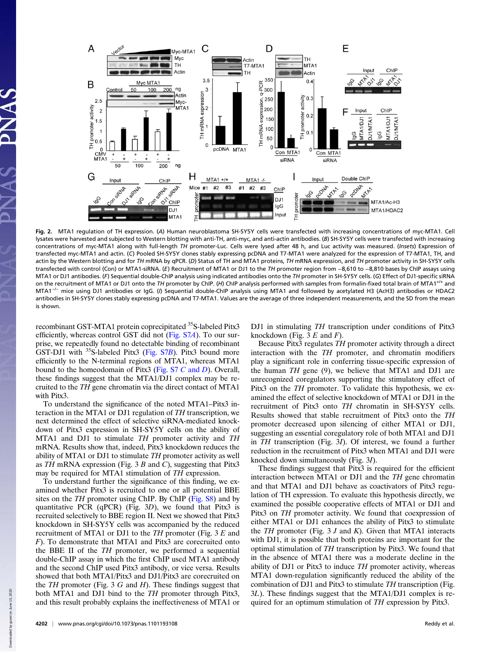

Fig. 2. MTA1 regulation of TH expression. (A) Human neuroblastoma SH-SY5Y cells were transfected with increasing concentrations of myc-MTA1. Cell lysates were harvested and subjected to Western blotting with anti-TH, anti-myc, and anti-actin antibodies. (B) SH-SY5Y cells were transfected with increasing concentrations of myc-MTA1 along with full-length TH promoter-Luc. Cells were lysed after 48 h, and Luc activity was measured. (Insets) Expression of transfected myc-MTA1 and actin. (C) Pooled SH-SY5Y clones stably expressing pcDNA and T7-MTA1 were analyzed for the expression of T7-MTA1, TH, and actin by the Western blotting and for TH mRNA by qPCR. (D) Status of TH and MTA1 proteins, TH mRNA expression, and TH promoter activity in SH-SY5Y cells transfected with control (Con) or MTA1-siRNA. (E) Recruitment of MTA1 or DJ1 to the TH promoter region from −8,610 to −8,810 bases by ChIP assays using MTA1 or DJ1 antibodies. (F) Sequential double-ChIP analysis using indicated antibodies onto the TH promoter in SH-SY5Y cells. (G) Effect of DJ1-specific siRNA on the recruitment of MTA1 or DJ1 onto the TH promoter by ChIP. (H) ChIP analysis performed with samples from formalin-fixed total brain of MTA1<sup>+/+</sup> and MTA1−/<sup>−</sup> mice using DJ1 antibodies or IgG. (I) Sequential double-ChIP analysis using MTA1 and followed by acetylated H3 (AcH3) antibodies or HDAC2 antibodies in SH-SY5Y clones stably expressing pcDNA and T7-MTA1. Values are the average of three independent measurements, and the SD from the mean is shown.

recombinant GST-MTA1 protein coprecipitated <sup>35</sup>S-labeled Pitx3 efficiently, whereas control GST did not ([Fig. S7](http://www.pnas.org/lookup/suppl/doi:10.1073/pnas.1101193108/-/DCSupplemental/pnas.201101193SI.pdf?targetid=nameddest=SF7)A). To our surprise, we repeatedly found no detectable binding of recombinant GST-DJ1 with <sup>35</sup>S-labeled Pitx3 ([Fig. S7](http://www.pnas.org/lookup/suppl/doi:10.1073/pnas.1101193108/-/DCSupplemental/pnas.201101193SI.pdf?targetid=nameddest=SF7)B). Pitx3 bound more efficiently to the N-terminal regions of MTA1, whereas MTA1 bound to the homeodomain of Pitx3 ([Fig. S7](http://www.pnas.org/lookup/suppl/doi:10.1073/pnas.1101193108/-/DCSupplemental/pnas.201101193SI.pdf?targetid=nameddest=SF7) C and D). Overall, these findings suggest that the MTA1/DJ1 complex may be recruited to the TH gene chromatin via the direct contact of MTA1 with Pitx3.

To understand the significance of the noted MTA1–Pitx3 interaction in the MTA1 or DJ1 regulation of TH transcription, we next determined the effect of selective siRNA-mediated knockdown of Pitx3 expression in SH-SY5Y cells on the ability of MTA1 and DJ1 to stimulate TH promoter activity and TH mRNA. Results show that, indeed, Pitx3 knockdown reduces the ability of MTA1 or DJ1 to stimulate TH promoter activity as well as  $TH$  mRNA expression (Fig. 3 B and C), suggesting that Pitx3 may be required for MTA1 stimulation of TH expression.

To understand further the significance of this finding, we examined whether Pitx3 is recruited to one or all potential BBE sites on the TH promoter using ChIP. By ChIP ([Fig. S8](http://www.pnas.org/lookup/suppl/doi:10.1073/pnas.1101193108/-/DCSupplemental/pnas.201101193SI.pdf?targetid=nameddest=SF8)) and by quantitative PCR (qPCR) (Fig. 3D), we found that Pitx3 is recruited selectively to BBE region II. Next we showed that Pitx3 knockdown in SH-SY5Y cells was accompanied by the reduced recruitment of MTA1 or DJ1 to the  $TH$  promoter (Fig. 3  $E$  and F). To demonstrate that MTA1 and Pitx3 are corecruited onto the BBE II of the TH promoter, we performed a sequential double-ChIP assay in which the first ChIP used MTA1 antibody and the second ChIP used Pitx3 antibody, or vice versa. Results showed that both MTA1/Pitx3 and DJ1/Pitx3 are corecruited on the  $TH$  promoter (Fig. 3  $G$  and  $H$ ). These findings suggest that both MTA1 and DJ1 bind to the TH promoter through Pitx3, and this result probably explains the ineffectiveness of MTA1 or DJ1 in stimulating TH transcription under conditions of Pitx3 knockdown (Fig. 3  $E$  and  $F$ ).

Because Pitx3 regulates TH promoter activity through a direct interaction with the TH promoter, and chromatin modifiers play a significant role in conferring tissue-specific expression of the human  $TH$  gene (9), we believe that MTA1 and DJ1 are unrecognized coregulators supporting the stimulatory effect of Pitx3 on the TH promoter. To validate this hypothesis, we examined the effect of selective knockdown of MTA1 or DJ1 in the recruitment of Pitx3 onto TH chromatin in SH-SY5Y cells. Results showed that stable recruitment of Pitx3 onto the TH promoter decreased upon silencing of either MTA1 or DJ1, suggesting an essential coregulatory role of both MTA1 and DJ1 in TH transcription (Fig. 3I). Of interest, we found a further reduction in the recruitment of Pitx3 when MTA1 and DJ1 were knocked down simultaneously (Fig. 3I).

These findings suggest that Pitx3 is required for the efficient interaction between MTA1 or DJ1 and the TH gene chromatin and that MTA1 and DJ1 behave as coactivators of Pitx3 regulation of TH expression. To evaluate this hypothesis directly, we examined the possible cooperative effects of MTA1 or DJ1 and Pitx3 on TH promoter activity. We found that coexpression of either MTA1 or DJ1 enhances the ability of Pitx3 to stimulate the  $TH$  promoter (Fig. 3  $J$  and  $K$ ). Given that MTA1 interacts with DJ1, it is possible that both proteins are important for the optimal stimulation of TH transcription by Pitx3. We found that in the absence of MTA1 there was a moderate decline in the ability of DJ1 or Pitx3 to induce TH promoter activity, whereas MTA1 down-regulation significantly reduced the ability of the combination of DJ1 and Pitx3 to stimulate TH transcription (Fig. 3L). These findings suggest that the MTA1/DJ1 complex is required for an optimum stimulation of TH expression by Pitx3.

Down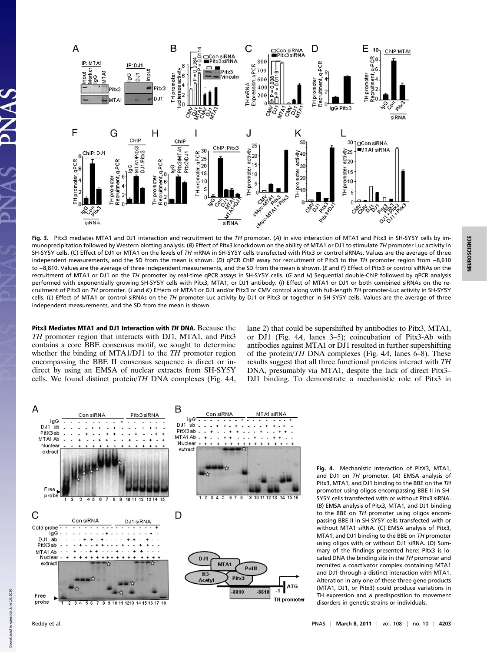

Fig. 3. Pitx3 mediates MTA1 and DJ1 interaction and recruitment to the TH promoter. (A) In vivo interaction of MTA1 and Pitx3 in SH-SY5Y cells by immunoprecipitation followed by Western blotting analysis. (B) Effect of Pitx3 knockdown on the ability of MTA1 or DJ1 to stimulate TH promoter Luc activity in SH-SY5Y cells. (C) Effect of DJ1 or MTA1 on the levels of TH mRNA in SH-SY5Y cells transfected with Pitx3 or control siRNAs. Values are the average of three independent measurements, and the SD from the mean is shown. (D) qPCR ChIP assay for recruitment of Pitx3 to the TH promoter region from −8,610 to −8,810. Values are the average of three independent measurements, and the SD from the mean is shown. (E and F) Effect of Pitx3 or control siRNAs on the recruitment of MTA1 or DJ1 on the TH promoter by real-time qPCR assays in SH-SY5Y cells. (G and H) Sequential double-ChIP followed by qPCR analysis performed with exponentially growing SH-SY5Y cells with Pitx3, MTA1, or DJ1 antibody. (f) Effect of MTA1 or DJ1 or both combined siRNAs on the recruitment of Pitx3 on TH promoter. (J and K) Effects of MTA1 or DJ1 and/or Pitx3 or CMV control along with full-length TH promoter-Luc activity in SH-SY5Y cells. (L) Effect of MTA1 or control siRNAs on the TH promoter-Luc activity by DJ1 or Pitx3 or together in SH-SY5Y cells. Values are the average of three independent measurements, and the SD from the mean is shown.

Pitx3 Mediates MTA1 and DJ1 Interaction with TH DNA. Because the TH promoter region that interacts with DJ1, MTA1, and Pitx3 contains a core BBE consensus motif, we sought to determine whether the binding of MTA1/DJ1 to the TH promoter region encompassing the BBE II consensus sequence is direct or indirect by using an EMSA of nuclear extracts from SH-SY5Y cells. We found distinct protein/TH DNA complexes (Fig. 4A,

lane 2) that could be supershifted by antibodies to Pitx3, MTA1, or DJ1 (Fig. 4A, lanes 3–5); coincubation of Pitx3-Ab with antibodies against MTA1 or DJ1 resulted in further supershifting of the protein/TH DNA complexes (Fig. 4A, lanes 6–8). These results suggest that all three functional proteins interact with TH DNA, presumably via MTA1, despite the lack of direct Pitx3– DJ1 binding. To demonstrate a mechanistic role of Pitx3 in



Fig. 4. Mechanistic interaction of PitX3, MTA1, and DJ1 on TH promoter. (A) EMSA analysis of Pitx3, MTA1, and DJ1 binding to the BBE on the TH promoter using oligos encompassing BBE II in SH-SY5Y cells transfected with or without Pitx3 siRNA. (B) EMSA analysis of Pitx3, MTA1, and DJ1 binding to the BBE on TH promoter using oligos encompassing BBE II in SH-SY5Y cells transfected with or without MTA1 siRNA. (C) EMSA analysis of Pitx3, MTA1, and DJ1 binding to the BBE on TH promoter using oligos with or without DJ1 siRNA. (D) Summary of the findings presented here: Pitx3 is located DNA the binding site in the TH promoter and recruited a coactivator complex containing MTA1 and DJ1 through a distinct interaction with MTA1. Alteration in any one of these three gene products (MTA1, DJ1, or Pitx3) could produce variations in TH expression and a predisposition to movement disorders in genetic strains or individuals.

Down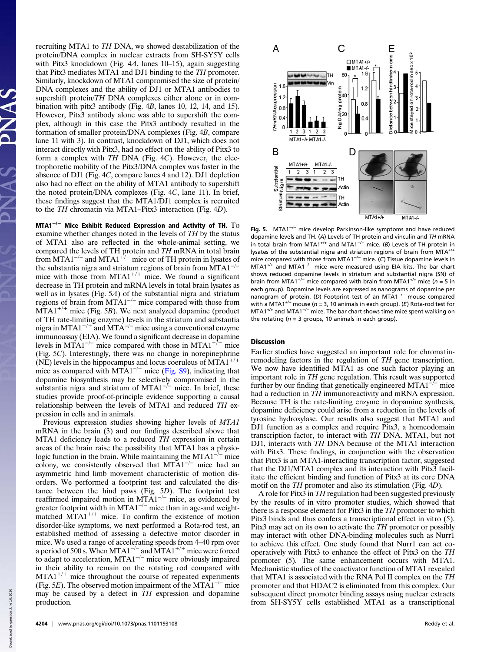recruiting MTA1 to TH DNA, we showed destabilization of the protein/DNA complex in nuclear extracts from SH-SY5Y cells with Pitx3 knockdown (Fig. 4A, lanes 10-15), again suggesting that Pitx3 mediates MTA1 and DJ1 binding to the TH promoter. Similarly, knockdown of MTA1 compromised the size of protein/ DNA complexes and the ability of DJ1 or MTA1 antibodies to supershift protein/TH DNA complexes either alone or in combination with pitx3 antibody (Fig. 4B, lanes 10, 12, 14, and 15). However, Pitx3 antibody alone was able to supershift the complex, although in this case the Pitx3 antibody resulted in the formation of smaller protein/DNA complexes (Fig. 4B, compare lane 11 with 3). In contrast, knockdown of DJ1, which does not interact directly with Pitx3, had no effect on the ability of Pitx3 to form a complex with TH DNA (Fig. 4C). However, the electrophoretic mobility of the Pitx3/DNA complex was faster in the absence of DJ1 (Fig. 4C, compare lanes 4 and 12). DJ1 depletion also had no effect on the ability of MTA1 antibody to supershift the noted protein/DNA complexes (Fig. 4C, lane 11). In brief, these findings suggest that the MTA1/DJ1 complex is recruited to the TH chromatin via MTA1–Pitx3 interaction (Fig. 4D).

MTA1<sup>-/-</sup> Mice Exhibit Reduced Expression and Activity of TH.  $To$ examine whether changes noted in the levels of TH by the status of MTA1 also are reflected in the whole-animal setting, we compared the levels of TH protein and TH mRNA in total brain from MTA1<sup>-/-</sup> and MTA1<sup>+/+</sup> mice or of TH protein in lysates of the substantia nigra and striatum regions of brain from MTA1−/<sup>−</sup> mice with those from MTA1<sup>+/+</sup> mice. We found a significant decrease in TH protein and mRNA levels in total brain lysates as well as in lysates (Fig. 5A) of the substantial nigra and striatum regions of brain from MTA1<sup> $-/-$ </sup> mice compared with those from  $MTA1^{+/+}$  mice (Fig. 5B). We next analyzed dopamine (product of TH rate-limiting enzyme) levels in the striatum and substantia nigra in MTA1<sup>+/+</sup> and MTA<sup>-/-</sup> mice using a conventional enzyme immunoassay (EIA). We found a significant decrease in dopamine levels in MTA1<sup> $-/-$ </sup> mice compared with those in MTA1<sup> $+/+$ </sup> mice (Fig. 5C). Interestingly, there was no change in norepinephrine (NE) levels in the hippocampus and locus coeruleus of  $MTA1^{+/+}$ mice as compared with MTA1<sup>-/-</sup> mice ([Fig. S9](http://www.pnas.org/lookup/suppl/doi:10.1073/pnas.1101193108/-/DCSupplemental/pnas.201101193SI.pdf?targetid=nameddest=SF9)), indicating that dopamine biosynthesis may be selectively compromised in the substantia nigra and striatum of MTA1<sup>-/-</sup> mice. In brief, these studies provide proof-of-principle evidence supporting a causal relationship between the levels of MTA1 and reduced TH expression in cells and in animals.

Previous expression studies showing higher levels of MTA1 mRNA in the brain (3) and our findings described above that MTA1 deficiency leads to a reduced TH expression in certain areas of the brain raise the possibility that MTA1 has a physiologic function in the brain. While maintaining the MTA1−/<sup>−</sup> mice colony, we consistently observed that MTA1<sup> $-/-$ </sup> mice had an asymmetric hind limb movement characteristic of motion disorders. We performed a footprint test and calculated the distance between the hind paws (Fig. 5D). The footprint test reaffirmed impaired motion in MTA1<sup>-/-</sup> mice, as evidenced by greater footprint width in MTA1<sup>-/-</sup> mice than in age-and weightmatched  $MTA1^{+/+}$  mice. To confirm the existence of motion disorder-like symptoms, we next performed a Rota-rod test, an established method of assessing a defective motor disorder in mice. We used a range of accelerating speeds from 4–40 rpm over a period of 500 s. When MTA1−/<sup>−</sup> and MTA1+/+ mice were forced to adapt to acceleration, MTA1−/<sup>−</sup> mice were obviously impaired in their ability to remain on the rotating rod compared with  $MTA1^{+/+}$  mice throughout the course of repeated experiments (Fig. 5E). The observed motion impairment of the MTA $1^{-/-}$  mice may be caused by a defect in TH expression and dopamine production.



Fig. 5. MTA1−/<sup>−</sup> mice develop Parkinson-like symptoms and have reduced dopamine levels and TH. (A) Levels of TH protein and vinculin and TH mRNA in total brain from MTA1+/+ and MTA1−/<sup>−</sup> mice. (B) Levels of TH protein in lysates of the substantial nigra and striatum regions of brain from  $MTA<sup>+/</sup>$ mice compared with those from MTA1−/<sup>−</sup> mice. (C) Tissue dopamine levels in MTA1+/+ and MTA1−/<sup>−</sup> mice were measured using EIA kits. The bar chart shows reduced dopamine levels in striatum and substantial nigra (SN) of brain from MTA1<sup>-/−</sup> mice compared with brain from MTA1<sup>+/+</sup> mice (n = 5 in each group). Dopamine levels are expressed as nanograms of dopamine per nanogram of protein. (D) Footprint test of an MTA1<sup>-/−</sup> mouse compared with a MTA1<sup>+/+</sup> mouse ( $n = 3$ , 10 animals in each group). (E) Rota-rod test for MTA1<sup>+/+</sup> and MTA1<sup>-/−</sup> mice. The bar chart shows time mice spent walking on the rotating ( $n = 3$  groups, 10 animals in each group).

## Discussion

Earlier studies have suggested an important role for chromatinremodeling factors in the regulation of TH gene transcription. We now have identified MTA1 as one such factor playing an important role in TH gene regulation. This result was supported further by our finding that genetically engineered MTA1<sup> $-/-$ </sup> mice had a reduction in TH immunoreactivity and mRNA expression. Because TH is the rate-limiting enzyme in dopamine synthesis, dopamine deficiency could arise from a reduction in the levels of tyrosine hydroxylase. Our results also suggest that MTA1 and DJ1 function as a complex and require Pitx3, a homeodomain transcription factor, to interact with TH DNA. MTA1, but not DJ1, interacts with TH DNA because of the MTA1 interaction with Pitx3. These findings, in conjunction with the observation that Pitx3 is an MTA1-interacting transcription factor, suggested that the DJ1/MTA1 complex and its interaction with Pitx3 facilitate the efficient binding and function of Pitx3 at its core DNA motif on the TH promoter and also its stimulation (Fig. 4D).

A role for Pitx3 in TH regulation had been suggested previously by the results of in vitro promoter studies, which showed that there is a response element for Pitx3 in the TH promoter to which Pitx3 binds and thus confers a transcriptional effect in vitro (5). Pitx3 may act on its own to activate the TH promoter or possibly may interact with other DNA-binding molecules such as Nurr1 to achieve this effect. One study found that Nurr1 can act cooperatively with Pitx3 to enhance the effect of Pitx3 on the TH promoter (5). The same enhancement occurs with MTA1. Mechanistic studies of the coactivator function of MTA1 revealed that MTA1 is associated with the RNA Pol II complex on the TH promoter and that HDAC2 is eliminated from this complex. Our subsequent direct promoter binding assays using nuclear extracts from SH-SY5Y cells established MTA1 as a transcriptional